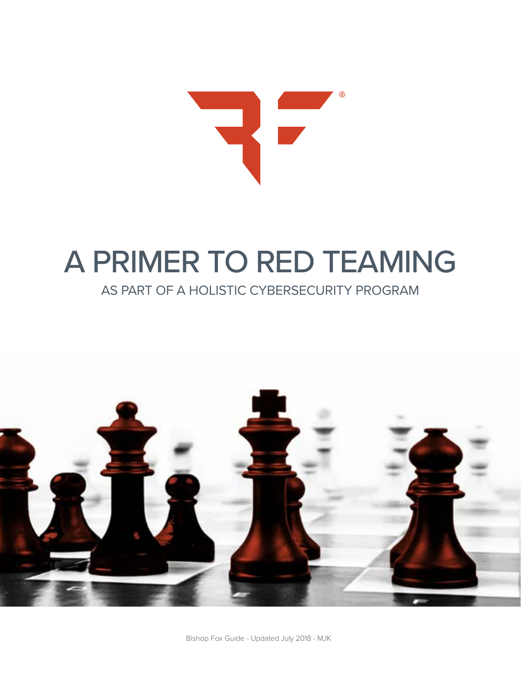

## A PRIMER TO RED TEAMING

### AS PART OF A HOLISTIC CYBERSECURITY PROGRAM

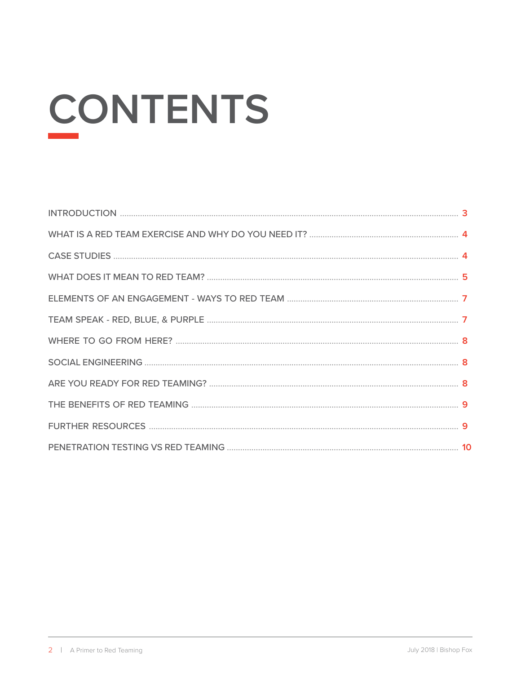# **CONTENTS**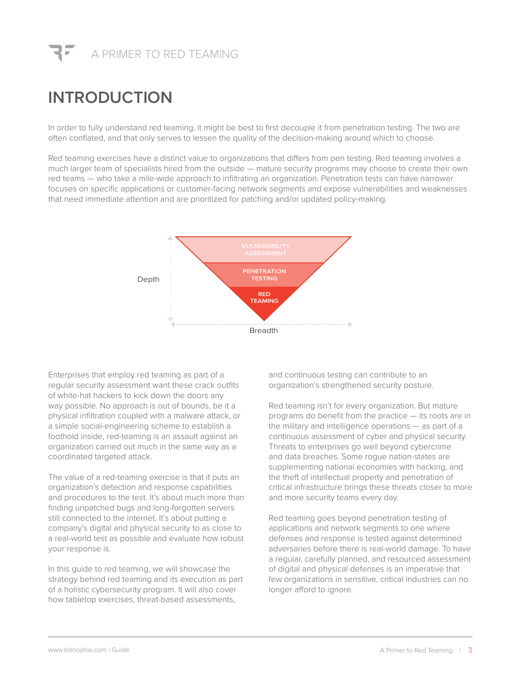

## **INTRODUCTION**

In order to fully understand red teaming, it might be best to first decouple it from penetration testing. The two are often conflated, and that only serves to lessen the quality of the decision-making around which to choose.

Red teaming exercises have a distinct value to organizations that differs from pen testing. Red teaming involves a much larger team of specialists hired from the outside — mature security programs may choose to create their own red teams — who take a mile-wide approach to infiltrating an organization. Penetration tests can have narrower focuses on specific applications or customer-facing network segments and expose vulnerabilities and weaknesses that need immediate attention and are prioritized for patching and/or updated policy-making.



Enterprises that employ red teaming as part of a regular security assessment want these crack outfits of white-hat hackers to kick down the doors any way possible. No approach is out of bounds, be it a physical infiltration coupled with a malware attack, or a simple social-engineering scheme to establish a foothold inside, red-teaming is an assault against an organization carried out much in the same way as a coordinated targeted attack.

The value of a red-teaming exercise is that it puts an organization's detection and response capabilities and procedures to the test. It's about much more than finding unpatched bugs and long-forgotten servers still connected to the internet. It's about putting a company's digital and physical security to as close to a real-world test as possible and evaluate how robust your response is.

In this guide to red teaming, we will showcase the strategy behind red teaming and its execution as part of a holistic cybersecurity program. It will also cover how tabletop exercises, threat-based assessments,

and continuous testing can contribute to an organization's strengthened security posture.

Red teaming isn't for every organization. But mature programs do benefit from the practice — its roots are in the military and intelligence operations — as part of a continuous assessment of cyber and physical security. Threats to enterprises go well beyond cybercrime and data breaches. Some rogue nation-states are supplementing national economies with hacking, and the theft of intellectual property and penetration of critical infrastructure brings these threats closer to more and more security teams every day.

Red teaming goes beyond penetration testing of applications and network segments to one where defenses and response is tested against determined adversaries before there is real-world damage. To have a regular, carefully planned, and resourced assessment of digital and physical defenses is an imperative that few organizations in sensitive, critical industries can no longer afford to ignore.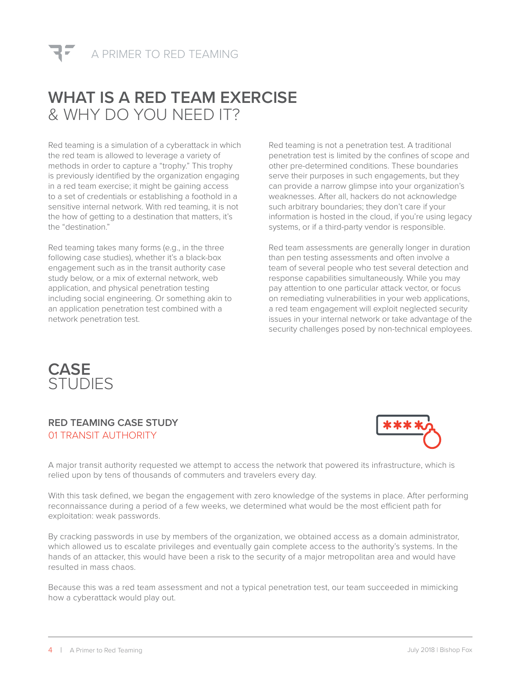

## **WHAT IS A RED TEAM EXERCISE** & WHY DO YOU NEED IT?

Red teaming is a simulation of a cyberattack in which the red team is allowed to leverage a variety of methods in order to capture a "trophy." This trophy is previously identified by the organization engaging in a red team exercise; it might be gaining access to a set of credentials or establishing a foothold in a sensitive internal network. With red teaming, it is not the how of getting to a destination that matters, it's the "destination."

Red teaming takes many forms (e.g., in the three following case studies), whether it's a black-box engagement such as in the transit authority case study below, or a mix of external network, web application, and physical penetration testing including social engineering. Or something akin to an application penetration test combined with a network penetration test.

Red teaming is not a penetration test. A traditional penetration test is limited by the confines of scope and other pre-determined conditions. These boundaries serve their purposes in such engagements, but they can provide a narrow glimpse into your organization's weaknesses. After all, hackers do not acknowledge such arbitrary boundaries; they don't care if your information is hosted in the cloud, if you're using legacy systems, or if a third-party vendor is responsible.

Red team assessments are generally longer in duration than pen testing assessments and often involve a team of several people who test several detection and response capabilities simultaneously. While you may pay attention to one particular attack vector, or focus on remediating vulnerabilities in your web applications, a red team engagement will exploit neglected security issues in your internal network or take advantage of the security challenges posed by non-technical employees.



#### **RED TEAMING CASE STUDY** 01 TRANSIT AUTHORITY



A major transit authority requested we attempt to access the network that powered its infrastructure, which is relied upon by tens of thousands of commuters and travelers every day.

With this task defined, we began the engagement with zero knowledge of the systems in place. After performing reconnaissance during a period of a few weeks, we determined what would be the most efficient path for exploitation: weak passwords.

By cracking passwords in use by members of the organization, we obtained access as a domain administrator, which allowed us to escalate privileges and eventually gain complete access to the authority's systems. In the hands of an attacker, this would have been a risk to the security of a major metropolitan area and would have resulted in mass chaos.

Because this was a red team assessment and not a typical penetration test, our team succeeded in mimicking how a cyberattack would play out.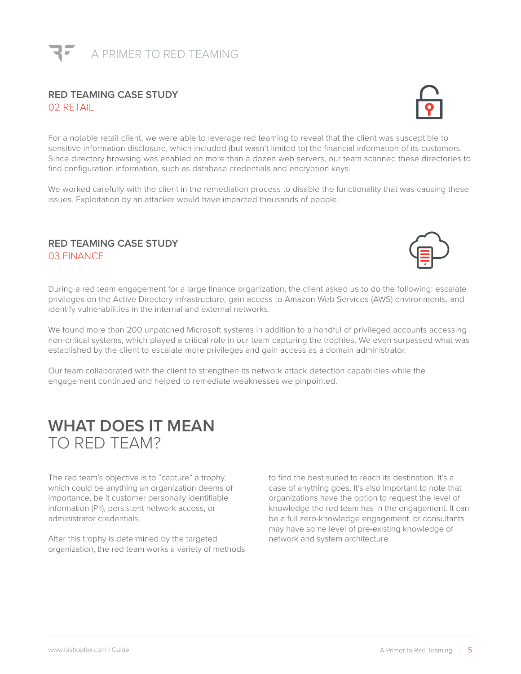

#### **RED TEAMING CASE STUDY** 02 RETAIL



We worked carefully with the client in the remediation process to disable the functionality that was causing these issues. Exploitation by an attacker would have impacted thousands of people.

#### **RED TEAMING CASE STUDY** 03 FINANCE



During a red team engagement for a large finance organization, the client asked us to do the following: escalate privileges on the Active Directory infrastructure, gain access to Amazon Web Services (AWS) environments, and identify vulnerabilities in the internal and external networks.

We found more than 200 unpatched Microsoft systems in addition to a handful of privileged accounts accessing non-critical systems, which played a critical role in our team capturing the trophies. We even surpassed what was established by the client to escalate more privileges and gain access as a domain administrator.

Our team collaborated with the client to strengthen its network attack detection capabilities while the engagement continued and helped to remediate weaknesses we pinpointed.

## **WHAT DOES IT MEAN** TO RED TEAM?

The red team's objective is to "capture" a trophy, which could be anything an organization deems of importance, be it customer personally identifiable information (PII), persistent network access, or administrator credentials.

After this trophy is determined by the targeted organization, the red team works a variety of methods to find the best suited to reach its destination. It's a case of anything goes. It's also important to note that organizations have the option to request the level of knowledge the red team has in the engagement. It can be a full zero-knowledge engagement, or consultants may have some level of pre-existing knowledge of network and system architecture.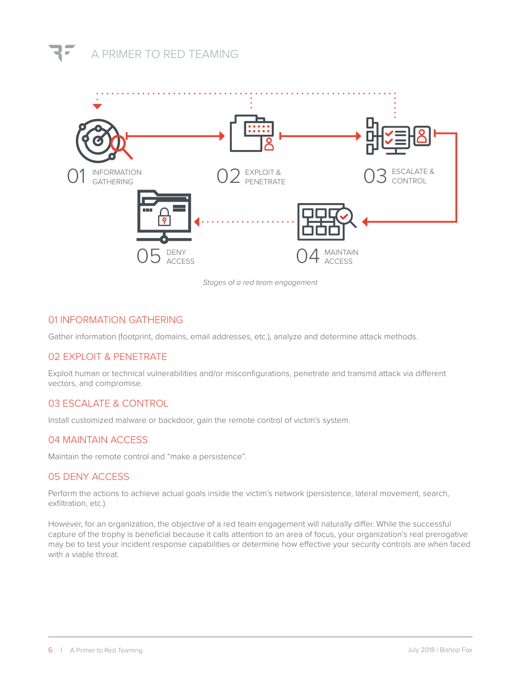## A PRIMER TO RED TEAMING



*Stages of a red team engagement* 

#### 01 INFORMATION GATHERING

Gather information (footprint, domains, email addresses, etc.), analyze and determine attack methods.

#### 02 EXPLOIT & PENETRATE

Exploit human or technical vulnerabilities and/or misconfigurations, penetrate and transmit attack via different vectors, and compromise.

#### 03 ESCALATE & CONTROL

Install customized malware or backdoor, gain the remote control of victim's system.

#### 04 MAINTAIN ACCESS

Maintain the remote control and "make a persistence".

#### 05 DENY ACCESS

Perform the actions to achieve actual goals inside the victim's network (persistence, lateral movement, search, exfiltration, etc.).

However, for an organization, the objective of a red team engagement will naturally differ. While the successful capture of the trophy is beneficial because it calls attention to an area of focus, your organization's real prerogative may be to test your incident response capabilities or determine how effective your security controls are when faced with a viable threat.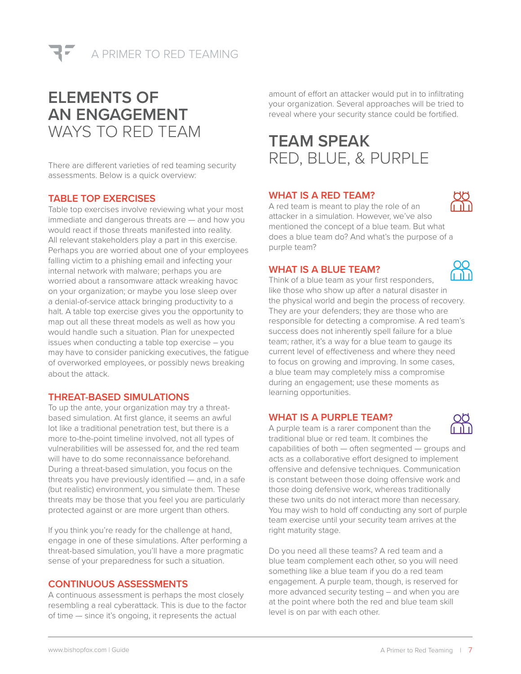

## **ELEMENTS OF AN ENGAGEMENT** WAYS TO RED TEAM

There are different varieties of red teaming security assessments. Below is a quick overview:

#### **TABLE TOP EXERCISES**

Table top exercises involve reviewing what your most immediate and dangerous threats are — and how you would react if those threats manifested into reality. All relevant stakeholders play a part in this exercise. Perhaps you are worried about one of your employees falling victim to a phishing email and infecting your internal network with malware; perhaps you are worried about a ransomware attack wreaking havoc on your organization; or maybe you lose sleep over a denial-of-service attack bringing productivity to a halt. A table top exercise gives you the opportunity to map out all these threat models as well as how you would handle such a situation. Plan for unexpected issues when conducting a table top exercise – you may have to consider panicking executives, the fatigue of overworked employees, or possibly news breaking about the attack.

#### **THREAT-BASED SIMULATIONS**

To up the ante, your organization may try a threatbased simulation. At first glance, it seems an awful lot like a traditional penetration test, but there is a more to-the-point timeline involved, not all types of vulnerabilities will be assessed for, and the red team will have to do some reconnaissance beforehand. During a threat-based simulation, you focus on the threats you have previously identified — and, in a safe (but realistic) environment, you simulate them. These threats may be those that you feel you are particularly protected against or are more urgent than others.

If you think you're ready for the challenge at hand, engage in one of these simulations. After performing a threat-based simulation, you'll have a more pragmatic sense of your preparedness for such a situation.

#### **CONTINUOUS ASSESSMENTS**

A continuous assessment is perhaps the most closely resembling a real cyberattack. This is due to the factor of time — since it's ongoing, it represents the actual

amount of effort an attacker would put in to infiltrating your organization. Several approaches will be tried to reveal where your security stance could be fortified.

## **TEAM SPEAK** RED, BLUE, & PURPLE

#### **WHAT IS A RED TEAM?**

A red team is meant to play the role of an attacker in a simulation. However, we've also mentioned the concept of a blue team. But what does a blue team do? And what's the purpose of a purple team?

#### **WHAT IS A BLUE TEAM?**

Think of a blue team as your first responders, like those who show up after a natural disaster in the physical world and begin the process of recovery. They are your defenders; they are those who are responsible for detecting a compromise. A red team's success does not inherently spell failure for a blue team; rather, it's a way for a blue team to gauge its current level of effectiveness and where they need to focus on growing and improving. In some cases, a blue team may completely miss a compromise during an engagement; use these moments as learning opportunities.

#### **WHAT IS A PURPLE TEAM?**

A purple team is a rarer component than the traditional blue or red team. It combines the capabilities of both — often segmented — groups and acts as a collaborative effort designed to implement offensive and defensive techniques. Communication is constant between those doing offensive work and those doing defensive work, whereas traditionally these two units do not interact more than necessary. You may wish to hold off conducting any sort of purple team exercise until your security team arrives at the right maturity stage.

Do you need all these teams? A red team and a blue team complement each other, so you will need something like a blue team if you do a red team engagement. A purple team, though, is reserved for more advanced security testing – and when you are at the point where both the red and blue team skill level is on par with each other.



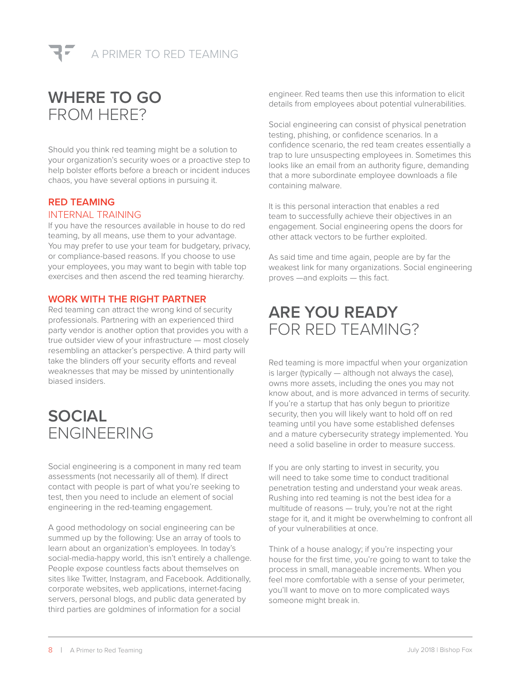

## **WHERE TO GO** FROM HERE?

Should you think red teaming might be a solution to your organization's security woes or a proactive step to help bolster efforts before a breach or incident induces chaos, you have several options in pursuing it.

#### **RED TEAMING** INTERNAL TRAINING

If you have the resources available in house to do red teaming, by all means, use them to your advantage. You may prefer to use your team for budgetary, privacy, or compliance-based reasons. If you choose to use your employees, you may want to begin with table top exercises and then ascend the red teaming hierarchy.

#### **WORK WITH THE RIGHT PARTNER**

Red teaming can attract the wrong kind of security professionals. Partnering with an experienced third party vendor is another option that provides you with a true outsider view of your infrastructure — most closely resembling an attacker's perspective. A third party will take the blinders off your security efforts and reveal weaknesses that may be missed by unintentionally biased insiders.

## **SOCIAL** ENGINEERING

Social engineering is a component in many red team assessments (not necessarily all of them). If direct contact with people is part of what you're seeking to test, then you need to include an element of social engineering in the red-teaming engagement.

A good methodology on social engineering can be summed up by the following: Use an array of tools to learn about an organization's employees. In today's social-media-happy world, this isn't entirely a challenge. People expose countless facts about themselves on sites like Twitter, Instagram, and Facebook. Additionally, corporate websites, web applications, internet-facing servers, personal blogs, and public data generated by third parties are goldmines of information for a social

engineer. Red teams then use this information to elicit details from employees about potential vulnerabilities.

Social engineering can consist of physical penetration testing, phishing, or confidence scenarios. In a confidence scenario, the red team creates essentially a trap to lure unsuspecting employees in. Sometimes this looks like an email from an authority figure, demanding that a more subordinate employee downloads a file containing malware.

It is this personal interaction that enables a red team to successfully achieve their objectives in an engagement. Social engineering opens the doors for other attack vectors to be further exploited.

As said time and time again, people are by far the weakest link for many organizations. Social engineering proves —and exploits — this fact.

## **ARE YOU READY** FOR RED TEAMING?

Red teaming is more impactful when your organization is larger (typically — although not always the case), owns more assets, including the ones you may not know about, and is more advanced in terms of security. If you're a startup that has only begun to prioritize security, then you will likely want to hold off on red teaming until you have some established defenses and a mature cybersecurity strategy implemented. You need a solid baseline in order to measure success.

If you are only starting to invest in security, you will need to take some time to conduct traditional penetration testing and understand your weak areas. Rushing into red teaming is not the best idea for a multitude of reasons — truly, you're not at the right stage for it, and it might be overwhelming to confront all of your vulnerabilities at once.

Think of a house analogy; if you're inspecting your house for the first time, you're going to want to take the process in small, manageable increments. When you feel more comfortable with a sense of your perimeter, you'll want to move on to more complicated ways someone might break in.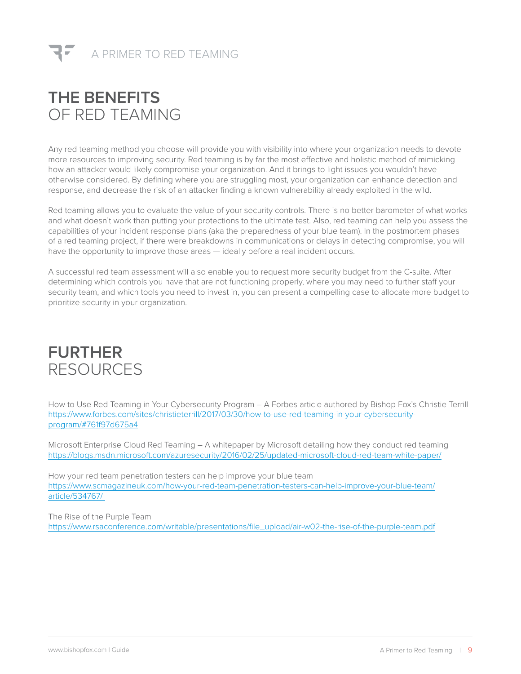## **THE BENEFITS** OF RED TEAMING

Any red teaming method you choose will provide you with visibility into where your organization needs to devote more resources to improving security. Red teaming is by far the most effective and holistic method of mimicking how an attacker would likely compromise your organization. And it brings to light issues you wouldn't have otherwise considered. By defining where you are struggling most, your organization can enhance detection and response, and decrease the risk of an attacker finding a known vulnerability already exploited in the wild.

Red teaming allows you to evaluate the value of your security controls. There is no better barometer of what works and what doesn't work than putting your protections to the ultimate test. Also, red teaming can help you assess the capabilities of your incident response plans (aka the preparedness of your blue team). In the postmortem phases of a red teaming project, if there were breakdowns in communications or delays in detecting compromise, you will have the opportunity to improve those areas — ideally before a real incident occurs.

A successful red team assessment will also enable you to request more security budget from the C-suite. After determining which controls you have that are not functioning properly, where you may need to further staff your security team, and which tools you need to invest in, you can present a compelling case to allocate more budget to prioritize security in your organization.

## **FURTHER** RESOURCES

How to Use Red Teaming in Your Cybersecurity Program – A Forbes article authored by Bishop Fox's Christie Terrill [https://www.forbes.com/sites/christieterrill/2017/03/30/how-to-use-red-teaming-in-your-cybersecurity](https://www.forbes.com/sites/christieterrill/2017/03/30/how-to-use-red-teaming-in-your-cybersecurity-program/#761f97d675a4)[program/#761f97d675a4](https://www.forbes.com/sites/christieterrill/2017/03/30/how-to-use-red-teaming-in-your-cybersecurity-program/#761f97d675a4)

Microsoft Enterprise Cloud Red Teaming – A whitepaper by Microsoft detailing how they conduct red teaming <https://blogs.msdn.microsoft.com/azuresecurity/2016/02/25/updated-microsoft-cloud-red-team-white-paper/>

How your red team penetration testers can help improve your blue team [https://www.scmagazineuk.com/how-your-red-team-penetration-testers-can-help-improve-your-blue-team/](https://www.scmagazineuk.com/how-your-red-team-penetration-testers-can-help-improve-your-blue-team/article/534767/ ) [article/534767/](https://www.scmagazineuk.com/how-your-red-team-penetration-testers-can-help-improve-your-blue-team/article/534767/ ) 

The Rise of the Purple Team [https://www.rsaconference.com/writable/presentations/file\\_upload/air-w02-the-rise-of-the-purple-team.pdf](https://www.rsaconference.com/writable/presentations/file_upload/air-w02-the-rise-of-the-purple-team.pdf)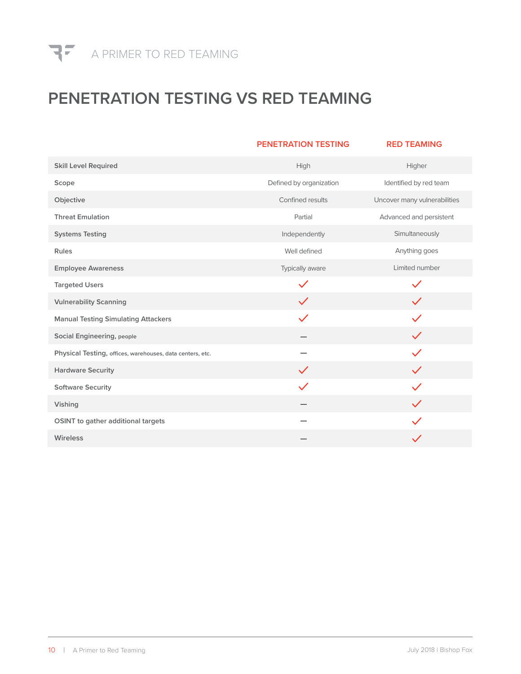

## **PENETRATION TESTING VS RED TEAMING**

|                                                           | <b>PENETRATION TESTING</b> | <b>RED TEAMING</b>           |
|-----------------------------------------------------------|----------------------------|------------------------------|
| <b>Skill Level Required</b>                               | High                       | Higher                       |
| Scope                                                     | Defined by organization    | Identified by red team       |
| Objective                                                 | Confined results           | Uncover many vulnerabilities |
| <b>Threat Emulation</b>                                   | Partial                    | Advanced and persistent      |
| <b>Systems Testing</b>                                    | Independently              | Simultaneously               |
| Rules                                                     | Well defined               | Anything goes                |
| <b>Employee Awareness</b>                                 | Typically aware            | Limited number               |
| <b>Targeted Users</b>                                     | $\checkmark$               | $\checkmark$                 |
| <b>Vulnerability Scanning</b>                             | $\checkmark$               | $\checkmark$                 |
| <b>Manual Testing Simulating Attackers</b>                | $\checkmark$               | $\checkmark$                 |
| <b>Social Engineering, people</b>                         |                            | $\checkmark$                 |
| Physical Testing, offices, warehouses, data centers, etc. |                            | $\checkmark$                 |
| <b>Hardware Security</b>                                  | $\checkmark$               | $\checkmark$                 |
| <b>Software Security</b>                                  | $\checkmark$               |                              |
| Vishing                                                   |                            | $\checkmark$                 |
| OSINT to gather additional targets                        |                            |                              |
| Wireless                                                  |                            |                              |